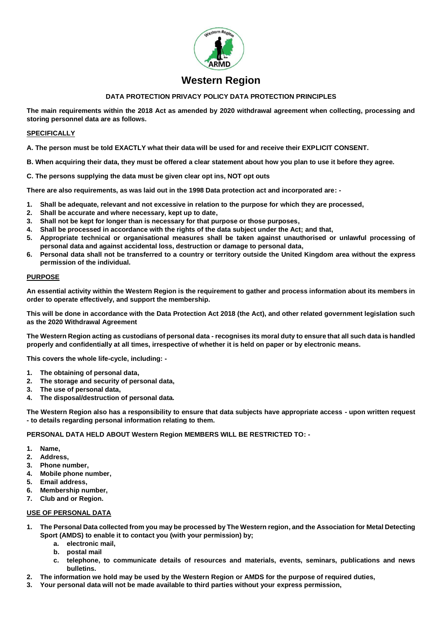

# **Western Region**

## **DATA PROTECTION PRIVACY POLICY DATA PROTECTION PRINCIPLES**

**The main requirements within the 2018 Act as amended by 2020 withdrawal agreement when collecting, processing and storing personnel data are as follows.** 

## **SPECIFICALLY**

**A. The person must be told EXACTLY what their data will be used for and receive their EXPLICIT CONSENT.** 

**B. When acquiring their data, they must be offered a clear statement about how you plan to use it before they agree.** 

**C. The persons supplying the data must be given clear opt ins, NOT opt outs** 

**There are also requirements, as was laid out in the 1998 Data protection act and incorporated are: -**

- **1. Shall be adequate, relevant and not excessive in relation to the purpose for which they are processed,**
- **2. Shall be accurate and where necessary, kept up to date,**
- **3. Shall not be kept for longer than is necessary for that purpose or those purposes,**
- **4. Shall be processed in accordance with the rights of the data subject under the Act; and that,**
- **5. Appropriate technical or organisational measures shall be taken against unauthorised or unlawful processing of personal data and against accidental loss, destruction or damage to personal data,**
- **6. Personal data shall not be transferred to a country or territory outside the United Kingdom area without the express permission of the individual.**

#### **PURPOSE**

**An essential activity within the Western Region is the requirement to gather and process information about its members in order to operate effectively, and support the membership.** 

**This will be done in accordance with the Data Protection Act 2018 (the Act), and other related government legislation such as the 2020 Withdrawal Agreement** 

**The Western Region acting as custodians of personal data - recognises its moral duty to ensure that all such data is handled properly and confidentially at all times, irrespective of whether it is held on paper or by electronic means.** 

**This covers the whole life-cycle, including: -**

- **1. The obtaining of personal data,**
- **2. The storage and security of personal data,**
- **3. The use of personal data,**
- **4. The disposal/destruction of personal data.**

**The Western Region also has a responsibility to ensure that data subjects have appropriate access - upon written request - to details regarding personal information relating to them.** 

**PERSONAL DATA HELD ABOUT Western Region MEMBERS WILL BE RESTRICTED TO: -**

- **1. Name,**
- **2. Address,**
- **3. Phone number,**
- **4. Mobile phone number,**
- **5. Email address,**
- **6. Membership number,**
- **7. Club and or Region.**

## **USE OF PERSONAL DATA**

- **1. The Personal Data collected from you may be processed by The Western region, and the Association for Metal Detecting Sport (AMDS) to enable it to contact you (with your permission) by;** 
	- **a. electronic mail,** 
		- **b. postal mail**
		- **c. telephone, to communicate details of resources and materials, events, seminars, publications and news bulletins.**
- **2. The information we hold may be used by the Western Region or AMDS for the purpose of required duties,**
- **3. Your personal data will not be made available to third parties without your express permission,**